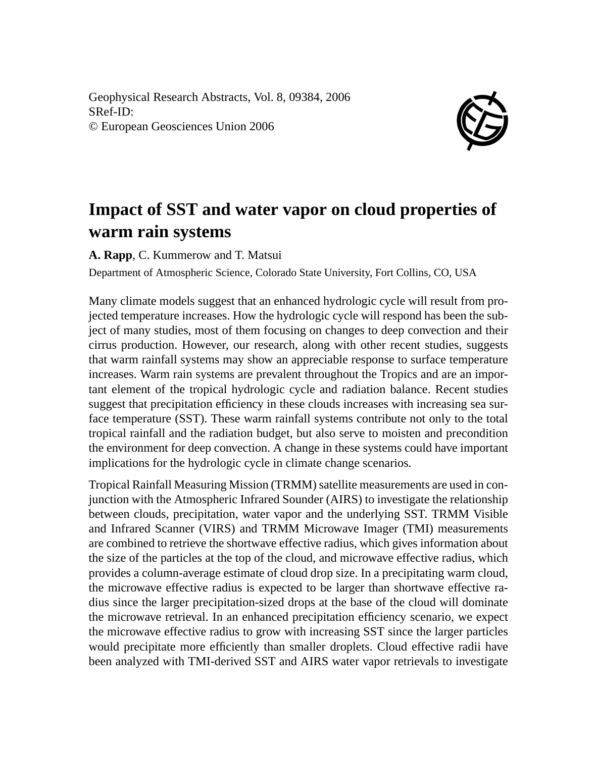Geophysical Research Abstracts, Vol. 8, 09384, 2006 SRef-ID: © European Geosciences Union 2006



## **Impact of SST and water vapor on cloud properties of warm rain systems**

**A. Rapp**, C. Kummerow and T. Matsui

Department of Atmospheric Science, Colorado State University, Fort Collins, CO, USA

Many climate models suggest that an enhanced hydrologic cycle will result from projected temperature increases. How the hydrologic cycle will respond has been the subject of many studies, most of them focusing on changes to deep convection and their cirrus production. However, our research, along with other recent studies, suggests that warm rainfall systems may show an appreciable response to surface temperature increases. Warm rain systems are prevalent throughout the Tropics and are an important element of the tropical hydrologic cycle and radiation balance. Recent studies suggest that precipitation efficiency in these clouds increases with increasing sea surface temperature (SST). These warm rainfall systems contribute not only to the total tropical rainfall and the radiation budget, but also serve to moisten and precondition the environment for deep convection. A change in these systems could have important implications for the hydrologic cycle in climate change scenarios.

Tropical Rainfall Measuring Mission (TRMM) satellite measurements are used in conjunction with the Atmospheric Infrared Sounder (AIRS) to investigate the relationship between clouds, precipitation, water vapor and the underlying SST. TRMM Visible and Infrared Scanner (VIRS) and TRMM Microwave Imager (TMI) measurements are combined to retrieve the shortwave effective radius, which gives information about the size of the particles at the top of the cloud, and microwave effective radius, which provides a column-average estimate of cloud drop size. In a precipitating warm cloud, the microwave effective radius is expected to be larger than shortwave effective radius since the larger precipitation-sized drops at the base of the cloud will dominate the microwave retrieval. In an enhanced precipitation efficiency scenario, we expect the microwave effective radius to grow with increasing SST since the larger particles would precipitate more efficiently than smaller droplets. Cloud effective radii have been analyzed with TMI-derived SST and AIRS water vapor retrievals to investigate